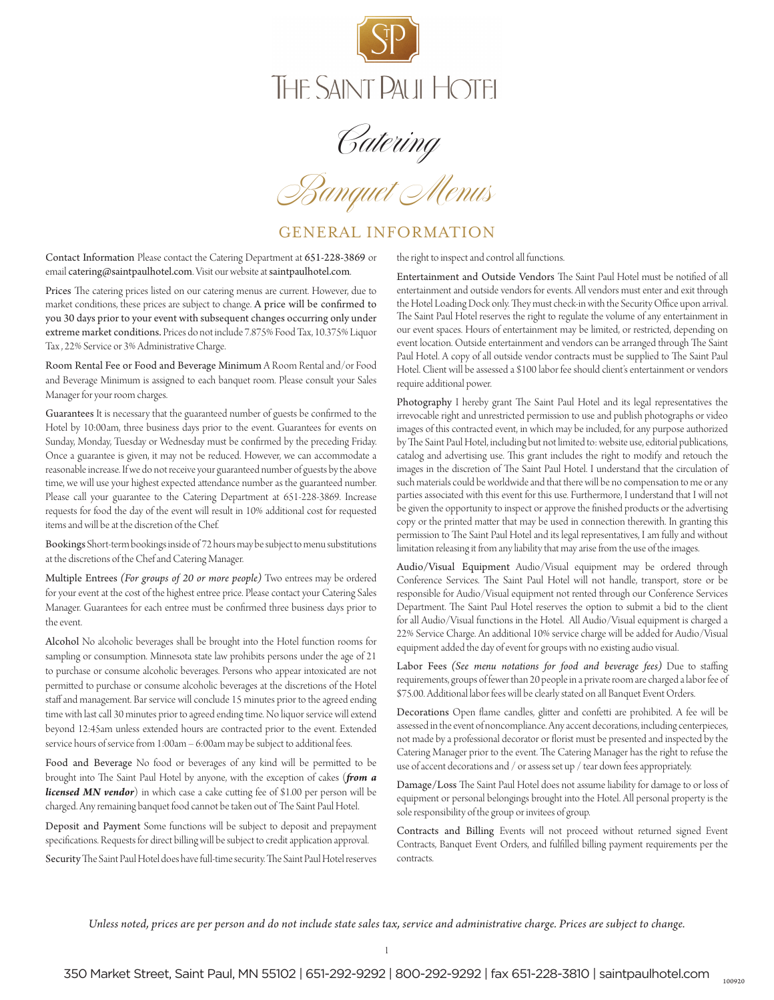

Catering

*Banquet Menus*

# GENERAL INFORMATION

Contact Information Please contact the Catering Department at 651-228-3869 or email catering@saintpaulhotel.com. Visit our website at saintpaulhotel.com.

Prices The catering prices listed on our catering menus are current. However, due to market conditions, these prices are subject to change. A price will be confirmed to you 30 days prior to your event with subsequent changes occurring only under extreme market conditions. Prices do not include 7.875% Food Tax, 10.375% Liquor Tax , 22% Service or 3% Administrative Charge.

Room Rental Fee or Food and Beverage Minimum A Room Rental and/or Food and Beverage Minimum is assigned to each banquet room. Please consult your Sales Manager for your room charges.

Guarantees It is necessary that the guaranteed number of guests be confirmed to the Hotel by 10:00am, three business days prior to the event. Guarantees for events on Sunday, Monday, Tuesday or Wednesday must be confirmed by the preceding Friday. Once a guarantee is given, it may not be reduced. However, we can accommodate a reasonable increase. If we do not receive your guaranteed number of guests by the above time, we will use your highest expected attendance number as the guaranteed number. Please call your guarantee to the Catering Department at 651-228-3869. Increase requests for food the day of the event will result in 10% additional cost for requested items and will be at the discretion of the Chef.

Bookings Short-term bookings inside of 72 hours may be subject to menu substitutions at the discretions of the Chef and Catering Manager.

Multiple Entrees *(For groups of 20 or more people)* Two entrees may be ordered for your event at the cost of the highest entree price. Please contact your Catering Sales Manager. Guarantees for each entree must be confirmed three business days prior to the event.

Alcohol No alcoholic beverages shall be brought into the Hotel function rooms for sampling or consumption. Minnesota state law prohibits persons under the age of 21 to purchase or consume alcoholic beverages. Persons who appear intoxicated are not permitted to purchase or consume alcoholic beverages at the discretions of the Hotel staff and management. Bar service will conclude 15 minutes prior to the agreed ending time with last call 30 minutes prior to agreed ending time. No liquor service will extend beyond 12:45am unless extended hours are contracted prior to the event. Extended service hours of service from 1:00am – 6:00am may be subject to additional fees.

Food and Beverage No food or beverages of any kind will be permitted to be brought into The Saint Paul Hotel by anyone, with the exception of cakes (*from a licensed MN vendor*) in which case a cake cutting fee of \$1.00 per person will be charged. Any remaining banquet food cannot be taken out of The Saint Paul Hotel.

Deposit and Payment Some functions will be subject to deposit and prepayment specifications. Requests for direct billing will be subject to credit application approval.

Security The Saint Paul Hotel does have full-time security. The Saint Paul Hotel reserves

the right to inspect and control all functions.

Entertainment and Outside Vendors The Saint Paul Hotel must be notified of all entertainment and outside vendors for events. All vendors must enter and exit through the Hotel Loading Dock only. They must check-in with the Security Office upon arrival. The Saint Paul Hotel reserves the right to regulate the volume of any entertainment in our event spaces. Hours of entertainment may be limited, or restricted, depending on event location. Outside entertainment and vendors can be arranged through The Saint Paul Hotel. A copy of all outside vendor contracts must be supplied to The Saint Paul Hotel. Client will be assessed a \$100 labor fee should client's entertainment or vendors require additional power.

Photography I hereby grant The Saint Paul Hotel and its legal representatives the irrevocable right and unrestricted permission to use and publish photographs or video images of this contracted event, in which may be included, for any purpose authorized by The Saint Paul Hotel, including but not limited to: website use, editorial publications, catalog and advertising use. This grant includes the right to modify and retouch the images in the discretion of The Saint Paul Hotel. I understand that the circulation of such materials could be worldwide and that there will be no compensation to me or any parties associated with this event for this use. Furthermore, I understand that I will not be given the opportunity to inspect or approve the finished products or the advertising copy or the printed matter that may be used in connection therewith. In granting this permission to The Saint Paul Hotel and its legal representatives, I am fully and without limitation releasing it from any liability that may arise from the use of the images.

Audio/Visual Equipment Audio/Visual equipment may be ordered through Conference Services. The Saint Paul Hotel will not handle, transport, store or be responsible for Audio/Visual equipment not rented through our Conference Services Department. The Saint Paul Hotel reserves the option to submit a bid to the client for all Audio/Visual functions in the Hotel. All Audio/Visual equipment is charged a 22% Service Charge. An additional 10% service charge will be added for Audio/Visual equipment added the day of event for groups with no existing audio visual.

Labor Fees *(See menu notations for food and beverage fees)* Due to staffing requirements, groups of fewer than 20 people in a private room are charged a labor fee of \$75.00. Additional labor fees will be clearly stated on all Banquet Event Orders.

Decorations Open flame candles, glitter and confetti are prohibited. A fee will be assessed in the event of noncompliance. Any accent decorations, including centerpieces, not made by a professional decorator or florist must be presented and inspected by the Catering Manager prior to the event. The Catering Manager has the right to refuse the use of accent decorations and / or assess set up / tear down fees appropriately.

Damage/Loss The Saint Paul Hotel does not assume liability for damage to or loss of equipment or personal belongings brought into the Hotel. All personal property is the sole responsibility of the group or invitees of group.

Contracts and Billing Events will not proceed without returned signed Event Contracts, Banquet Event Orders, and fulfilled billing payment requirements per the contracts.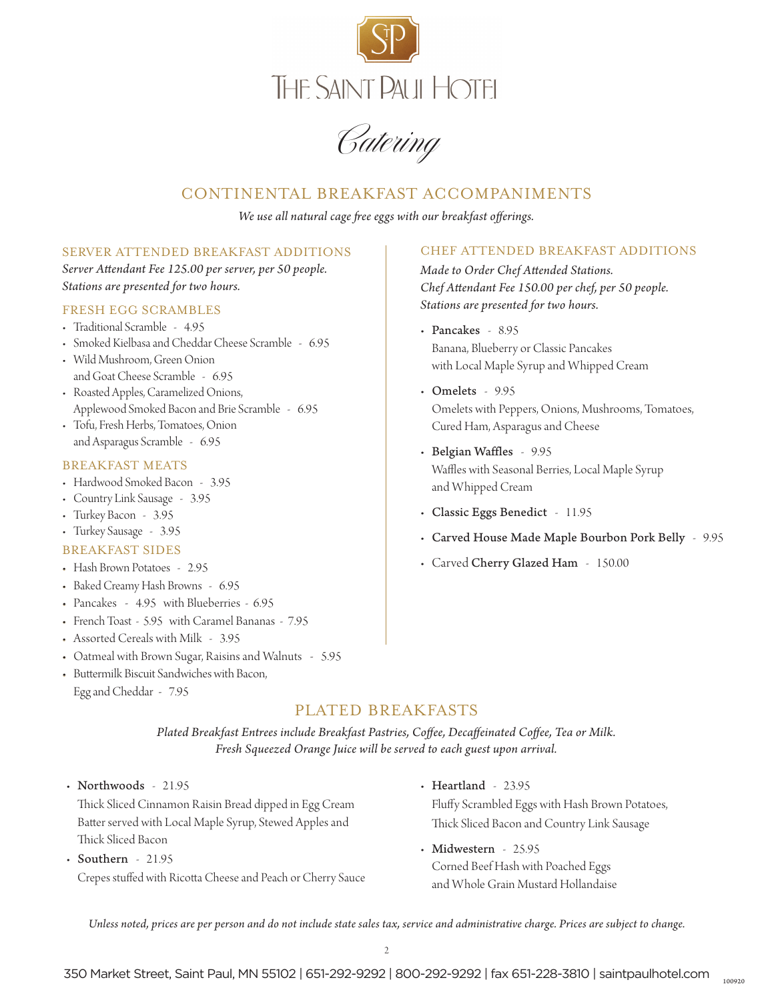

Catering

## CONTINENTAL BREAKFAST ACCOMPANIMENTS

*We use all natural cage free eggs with our breakfast offerings.*

### SERVER ATTENDED BREAKFAST ADDITIONS

*Server Attendant Fee 125.00 per server, per 50 people. Stations are presented for two hours.* 

#### FRESH EGG SCRAMBLES

- Traditional Scramble 4.95
- Smoked Kielbasa and Cheddar Cheese Scramble 6.95
- Wild Mushroom, Green Onion and Goat Cheese Scramble - 6.95
- Roasted Apples, Caramelized Onions, Applewood Smoked Bacon and Brie Scramble - 6.95
- Tofu, Fresh Herbs, Tomatoes, Onion and Asparagus Scramble - 6.95

#### BREAKFAST MEATS

- Hardwood Smoked Bacon 3.95
- Country Link Sausage 3.95
- Turkey Bacon 3.95
- Turkey Sausage 3.95

#### BREAKFAST SIDES

- Hash Brown Potatoes 2.95
- Baked Creamy Hash Browns 6.95
- Pancakes 4.95 with Blueberries 6.95
- French Toast 5.95 with Caramel Bananas 7.95
- Assorted Cereals with Milk 3.95
- Oatmeal with Brown Sugar, Raisins and Walnuts 5.95
- Buttermilk Biscuit Sandwiches with Bacon, Egg and Cheddar - 7.95

### CHEF ATTENDED BREAKFAST ADDITIONS

*Made to Order Chef Attended Stations. Chef Attendant Fee 150.00 per chef, per 50 people. Stations are presented for two hours.* 

- Pancakes 8.95 Banana, Blueberry or Classic Pancakes with Local Maple Syrup and Whipped Cream
- Omelets 9.95 Omelets with Peppers, Onions, Mushrooms, Tomatoes, Cured Ham, Asparagus and Cheese
- Belgian Waffles 9.95 Waffles with Seasonal Berries, Local Maple Syrup and Whipped Cream
- Classic Eggs Benedict 11.95
- Carved House Made Maple Bourbon Pork Belly 9.95
- Carved Cherry Glazed Ham 150.00

### PLATED BREAKFASTS

*Plated Breakfast Entrees include Breakfast Pastries, Coffee, Decaffeinated Coffee, Tea or Milk. Fresh Squeezed Orange Juice will be served to each guest upon arrival.*

• Northwoods - 21.95

Thick Sliced Cinnamon Raisin Bread dipped in Egg Cream Batter served with Local Maple Syrup, Stewed Apples and Thick Sliced Bacon

- Southern 21.95 Crepes stuffed with Ricotta Cheese and Peach or Cherry Sauce
- Heartland 23.95

Fluffy Scrambled Eggs with Hash Brown Potatoes, Thick Sliced Bacon and Country Link Sausage

• Midwestern - 25.95 Corned Beef Hash with Poached Eggs and Whole Grain Mustard Hollandaise

*Unless noted, prices are per person and do not include state sales tax, service and administrative charge. Prices are subject to change.*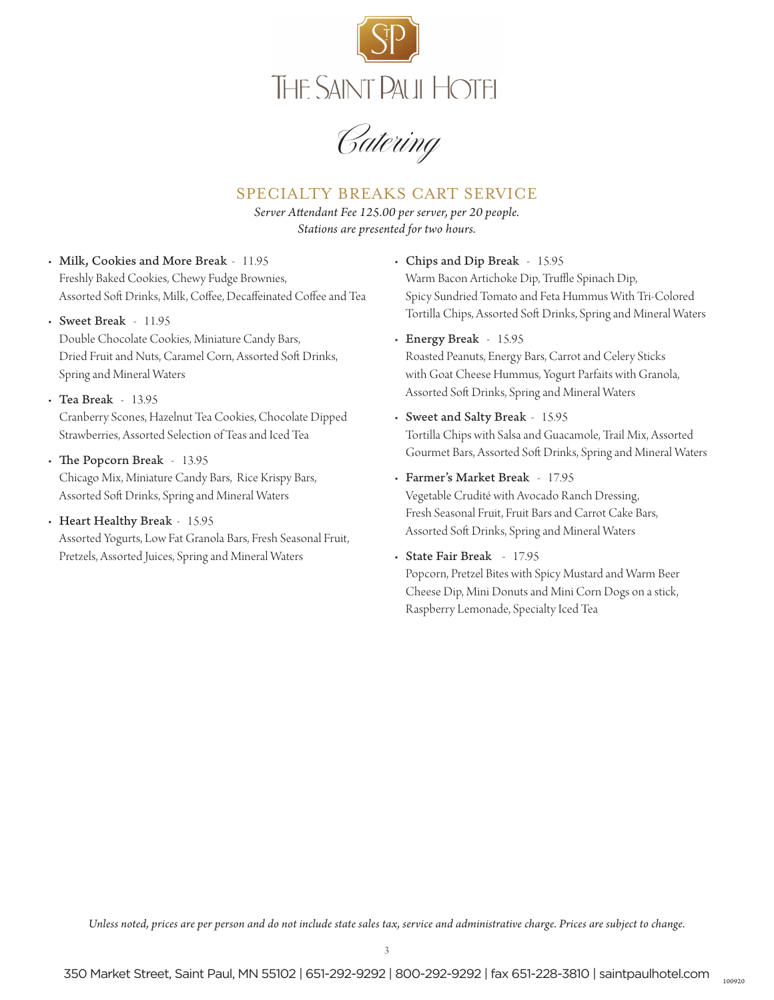

Catering

## SPECIALTY BREAKS CART SERVICE

*Server Attendant Fee 125.00 per server, per 20 people. Stations are presented for two hours.* 

- Milk, Cookies and More Break 11.95 Freshly Baked Cookies, Chewy Fudge Brownies, Assorted Soft Drinks, Milk, Coffee, Decaffeinated Coffee and Tea
- Sweet Break 11.95 Double Chocolate Cookies, Miniature Candy Bars, Dried Fruit and Nuts, Caramel Corn, Assorted Soft Drinks, Spring and Mineral Waters
- Tea Break 13.95 Cranberry Scones, Hazelnut Tea Cookies, Chocolate Dipped Strawberries, Assorted Selection of Teas and Iced Tea
- The Popcorn Break 13.95 Chicago Mix, Miniature Candy Bars, Rice Krispy Bars, Assorted Soft Drinks, Spring and Mineral Waters

#### • Heart Healthy Break - 15.95

Assorted Yogurts, Low Fat Granola Bars, Fresh Seasonal Fruit, Pretzels, Assorted Juices, Spring and Mineral Waters

• Chips and Dip Break - 15.95 Warm Bacon Artichoke Dip, Truffle Spinach Dip,

Spicy Sundried Tomato and Feta Hummus With Tri-Colored Tortilla Chips, Assorted Soft Drinks, Spring and Mineral Waters

• Energy Break - 15.95

Roasted Peanuts, Energy Bars, Carrot and Celery Sticks with Goat Cheese Hummus, Yogurt Parfaits with Granola, Assorted Soft Drinks, Spring and Mineral Waters

- Sweet and Salty Break 15.95 Tortilla Chips with Salsa and Guacamole, Trail Mix, Assorted Gourmet Bars, Assorted Soft Drinks, Spring and Mineral Waters
- Farmer's Market Break 17.95

Vegetable Crudité with Avocado Ranch Dressing, Fresh Seasonal Fruit, Fruit Bars and Carrot Cake Bars, Assorted Soft Drinks, Spring and Mineral Waters

• State Fair Break - 17.95 Popcorn, Pretzel Bites with Spicy Mustard and Warm Beer Cheese Dip, Mini Donuts and Mini Corn Dogs on a stick, Raspberry Lemonade, Specialty Iced Tea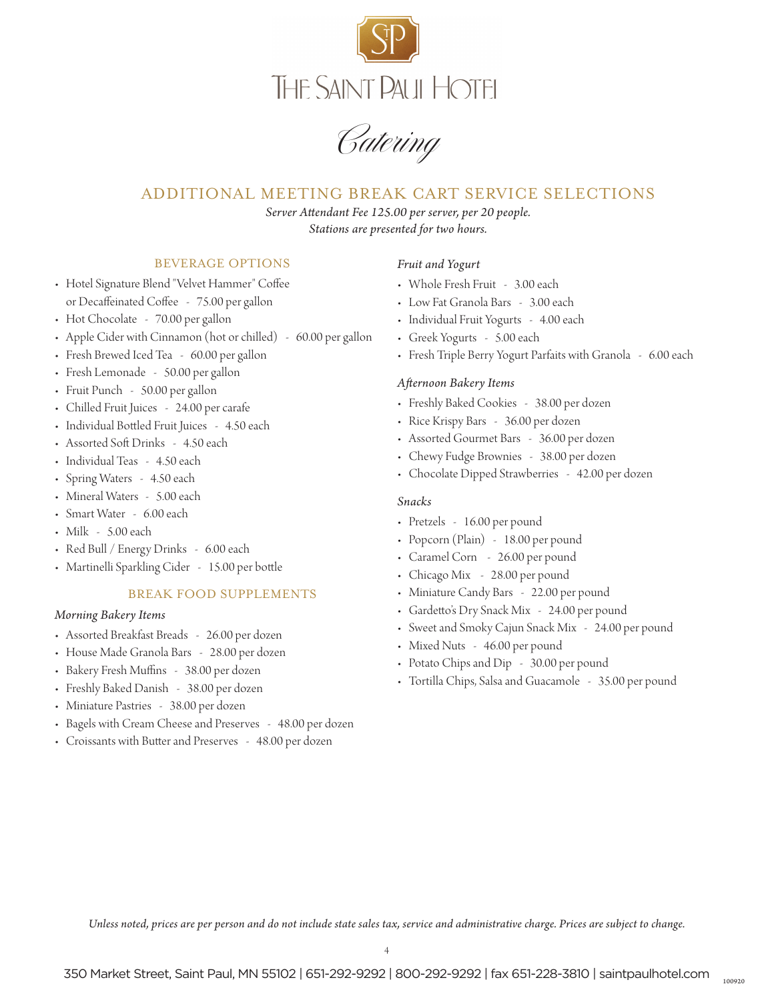

Catering

## ADDITIONAL MEETING BREAK CART SERVICE SELECTIONS

*Server Attendant Fee 125.00 per server, per 20 people. Stations are presented for two hours.* 

### BEVERAGE OPTIONS

- Hotel Signature Blend "Velvet Hammer" Coffee or Decaffeinated Coffee - 75.00 per gallon
- Hot Chocolate 70.00 per gallon
- Apple Cider with Cinnamon (hot or chilled) 60.00 per gallon
- Fresh Brewed Iced Tea 60.00 per gallon
- Fresh Lemonade 50.00 per gallon
- Fruit Punch 50.00 per gallon
- Chilled Fruit Juices 24.00 per carafe
- Individual Bottled Fruit Juices 4.50 each
- Assorted Soft Drinks 4.50 each
- Individual Teas 4.50 each
- Spring Waters 4.50 each
- Mineral Waters 5.00 each
- Smart Water 6.00 each
- Milk 5.00 each
- Red Bull / Energy Drinks 6.00 each
- Martinelli Sparkling Cider 15.00 per bottle

#### BREAK FOOD SUPPLEMENTS

#### *Morning Bakery Items*

- Assorted Breakfast Breads 26.00 per dozen
- House Made Granola Bars 28.00 per dozen
- Bakery Fresh Muffins 38.00 per dozen
- Freshly Baked Danish 38.00 per dozen
- Miniature Pastries 38.00 per dozen
- Bagels with Cream Cheese and Preserves 48.00 per dozen
- Croissants with Butter and Preserves 48.00 per dozen

#### *Fruit and Yogurt*

- Whole Fresh Fruit 3.00 each
- Low Fat Granola Bars 3.00 each
- Individual Fruit Yogurts 4.00 each
- Greek Yogurts 5.00 each
- Fresh Triple Berry Yogurt Parfaits with Granola 6.00 each

#### *Afternoon Bakery Items*

- Freshly Baked Cookies 38.00 per dozen
- Rice Krispy Bars 36.00 per dozen
- Assorted Gourmet Bars 36.00 per dozen
- Chewy Fudge Brownies 38.00 per dozen
- Chocolate Dipped Strawberries 42.00 per dozen

#### *Snacks*

- Pretzels 16.00 per pound
- Popcorn (Plain) 18.00 per pound
- Caramel Corn 26.00 per pound
- Chicago Mix 28.00 per pound
- Miniature Candy Bars 22.00 per pound
- Gardetto's Dry Snack Mix 24.00 per pound
- Sweet and Smoky Cajun Snack Mix 24.00 per pound
- Mixed Nuts 46.00 per pound
- Potato Chips and Dip 30.00 per pound
- Tortilla Chips, Salsa and Guacamole 35.00 per pound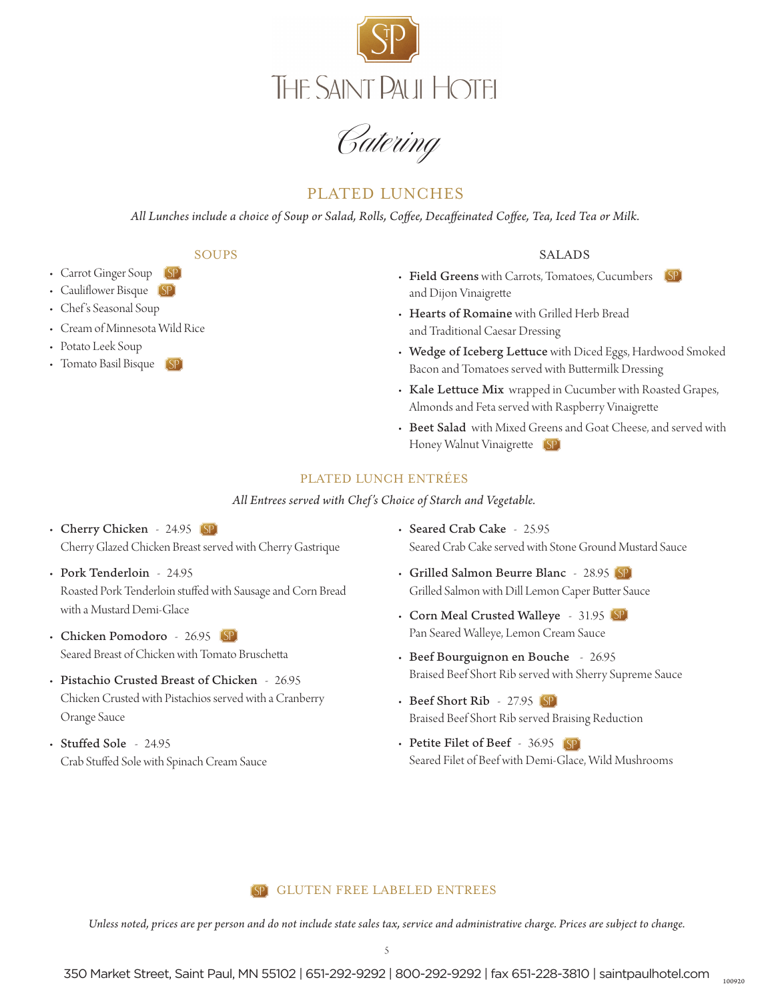



# PLATED LUNCHES

*All Lunches include a choice of Soup or Salad, Rolls, Coffee, Decaffeinated Coffee, Tea, Iced Tea or Milk.*

SOUPS

- Carrot Ginger Soup
- Cauliflower Bisque (SP)
- Chef 's Seasonal Soup
- Cream of Minnesota Wild Rice
- Potato Leek Soup
- Tomato Basil Bisque (SP)

#### SALADS

- Field Greens with Carrots, Tomatoes, Cucumbers  $[\mathrm{SP}]$ and Dijon Vinaigrette
- Hearts of Romaine with Grilled Herb Bread and Traditional Caesar Dressing
- Wedge of Iceberg Lettuce with Diced Eggs, Hardwood Smoked Bacon and Tomatoes served with Buttermilk Dressing
- Kale Lettuce Mix wrapped in Cucumber with Roasted Grapes, Almonds and Feta served with Raspberry Vinaigrette
- Beet Salad with Mixed Greens and Goat Cheese, and served with Honey Walnut Vinaigrette (SP)

### PLATED LUNCH ENTRÉES

*All Entrees served with Chef's Choice of Starch and Vegetable.*

- Cherry Chicken 24.95 [SP] Cherry Glazed Chicken Breast served with Cherry Gastrique
- Pork Tenderloin 24.95 Roasted Pork Tenderloin stuffed with Sausage and Corn Bread with a Mustard Demi-Glace
- Chicken Pomodoro 26.95 [SP] Seared Breast of Chicken with Tomato Bruschetta
- Pistachio Crusted Breast of Chicken 26.95 Chicken Crusted with Pistachios served with a Cranberry Orange Sauce
- Stuffed Sole 24.95 Crab Stuffed Sole with Spinach Cream Sauce
- Seared Crab Cake 25.95 Seared Crab Cake served with Stone Ground Mustard Sauce
- Grilled Salmon Beurre Blanc 28.95 Grilled Salmon with Dill Lemon Caper Butter Sauce
- Corn Meal Crusted Walleye 31.95 Pan Seared Walleye, Lemon Cream Sauce
- Beef Bourguignon en Bouche 26.95 Braised Beef Short Rib served with Sherry Supreme Sauce
- Beef Short Rib 27.95 Braised Beef Short Rib served Braising Reduction
- Petite Filet of Beef 36.95 Seared Filet of Beef with Demi-Glace, Wild Mushrooms

### GLUTEN FREE LABELED ENTREES

*Unless noted, prices are per person and do not include state sales tax, service and administrative charge. Prices are subject to change.*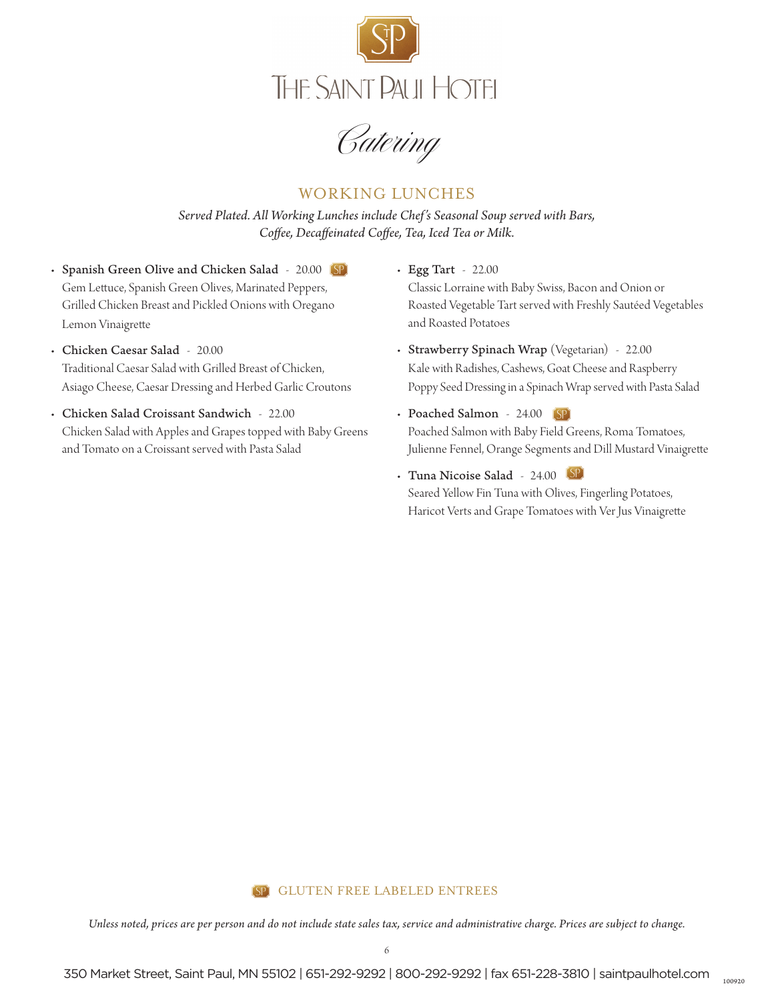

Catering

# WORKING LUNCHES

*Served Plated. All Working Lunches include Chef's Seasonal Soup served with Bars, Coffee, Decaffeinated Coffee, Tea, Iced Tea or Milk.*

- Spanish Green Olive and Chicken Salad 20.00 (SP) Gem Lettuce, Spanish Green Olives, Marinated Peppers, Grilled Chicken Breast and Pickled Onions with Oregano Lemon Vinaigrette
- Chicken Caesar Salad 20.00 Traditional Caesar Salad with Grilled Breast of Chicken, Asiago Cheese, Caesar Dressing and Herbed Garlic Croutons
- Chicken Salad Croissant Sandwich 22.00 Chicken Salad with Apples and Grapes topped with Baby Greens and Tomato on a Croissant served with Pasta Salad
- Egg Tart 22.00 Classic Lorraine with Baby Swiss, Bacon and Onion or Roasted Vegetable Tart served with Freshly Sautéed Vegetables and Roasted Potatoes
- Strawberry Spinach Wrap (Vegetarian) 22.00 Kale with Radishes, Cashews, Goat Cheese and Raspberry Poppy Seed Dressing in a Spinach Wrap served with Pasta Salad
- Poached Salmon 24.00 (SP) Poached Salmon with Baby Field Greens, Roma Tomatoes, Julienne Fennel, Orange Segments and Dill Mustard Vinaigrette
- Tuna Nicoise Salad 24.00 Seared Yellow Fin Tuna with Olives, Fingerling Potatoes, Haricot Verts and Grape Tomatoes with Ver Jus Vinaigrette

#### GLUTEN FREE LABELED ENTREES[SP]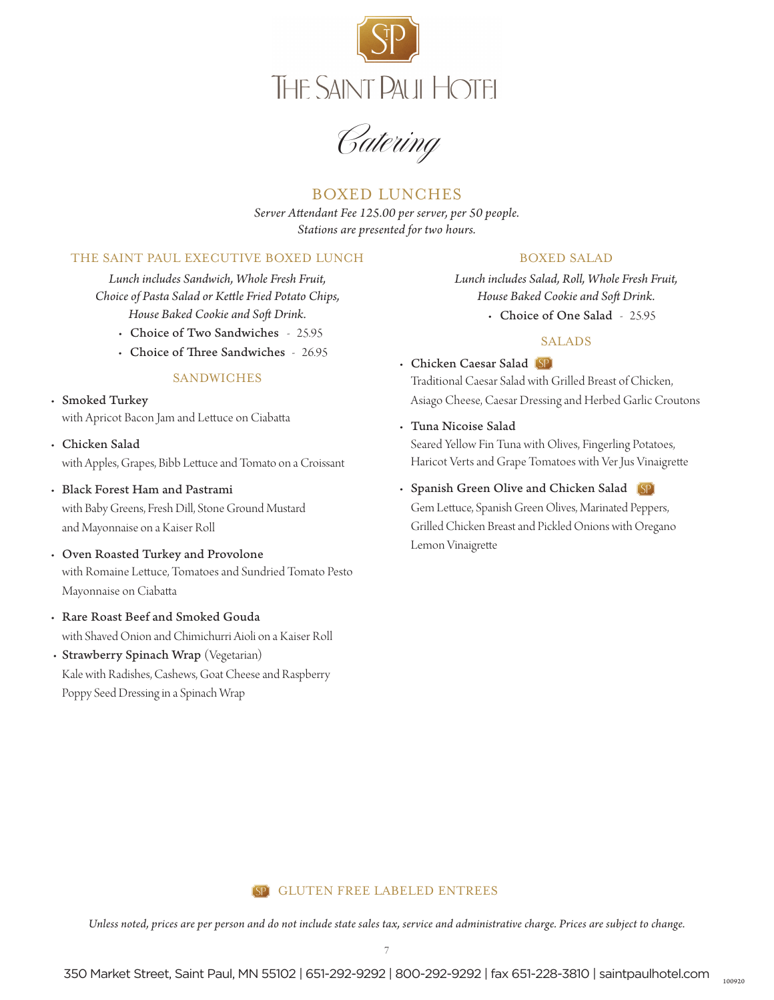

Catering

## BOXED LUNCHES

*Server Attendant Fee 125.00 per server, per 50 people. Stations are presented for two hours.* 

#### THE SAINT PAUL EXECUTIVE BOXED LUNCH

*Lunch includes Sandwich, Whole Fresh Fruit, Choice of Pasta Salad or Kettle Fried Potato Chips, House Baked Cookie and Soft Drink.*

- Choice of Two Sandwiches 25.95
- Choice of Three Sandwiches 26.95

### **SANDWICHES**

- Smoked Turkey with Apricot Bacon Jam and Lettuce on Ciabatta
- Chicken Salad with Apples, Grapes, Bibb Lettuce and Tomato on a Croissant
- Black Forest Ham and Pastrami with Baby Greens, Fresh Dill, Stone Ground Mustard and Mayonnaise on a Kaiser Roll
- Oven Roasted Turkey and Provolone with Romaine Lettuce, Tomatoes and Sundried Tomato Pesto Mayonnaise on Ciabatta
- Rare Roast Beef and Smoked Gouda with Shaved Onion and Chimichurri Aioli on a Kaiser Roll
- Strawberry Spinach Wrap (Vegetarian) Kale with Radishes, Cashews, Goat Cheese and Raspberry Poppy Seed Dressing in a Spinach Wrap

#### BOXED SALAD

*Lunch includes Salad, Roll, Whole Fresh Fruit, House Baked Cookie and Soft Drink.*

• Choice of One Salad - 25.95

#### SALADS

- Chicken Caesar Salad Traditional Caesar Salad with Grilled Breast of Chicken, Asiago Cheese, Caesar Dressing and Herbed Garlic Croutons
- Tuna Nicoise Salad Seared Yellow Fin Tuna with Olives, Fingerling Potatoes, Haricot Verts and Grape Tomatoes with Ver Jus Vinaigrette
- Spanish Green Olive and Chicken Salad Gem Lettuce, Spanish Green Olives, Marinated Peppers, Grilled Chicken Breast and Pickled Onions with Oregano Lemon Vinaigrette

#### GLUTEN FREE LABELED ENTREES $(SP)$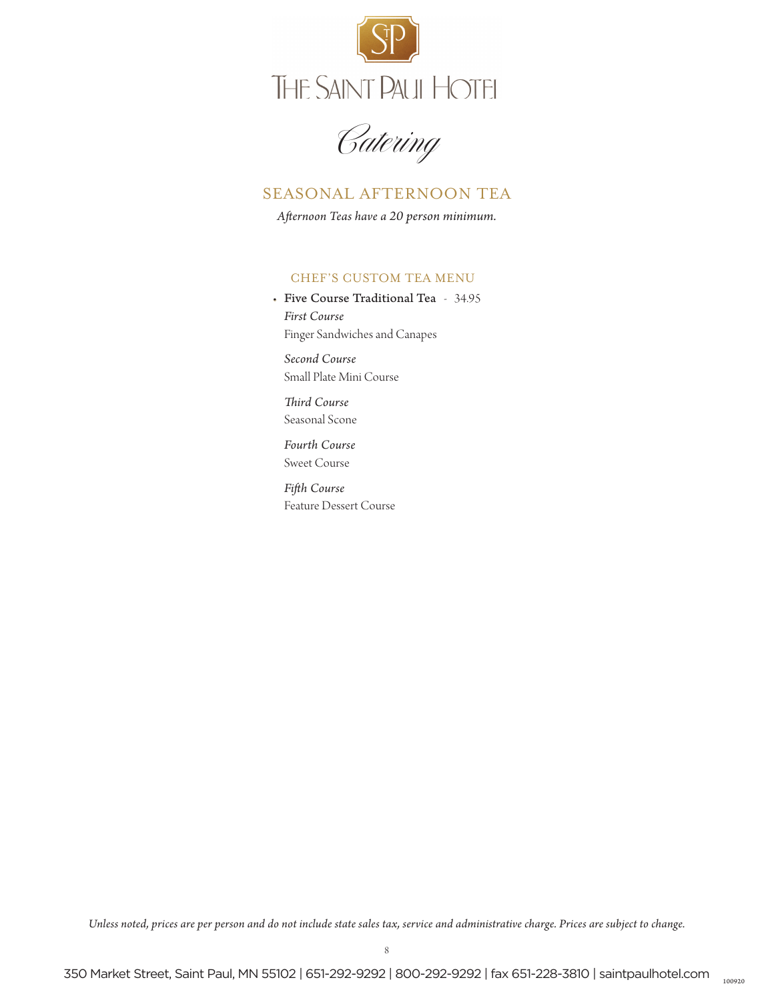

Catering

# SEASONAL AFTERNOON TEA

*Afternoon Teas have a 20 person minimum.*

### CHEF'S CUSTOM TEA MENU

• Five Course Traditional Tea - 34.95 *First Course* Finger Sandwiches and Canapes

 *Second Course* Small Plate Mini Course

 *Third Course* Seasonal Scone

 *Fourth Course* Sweet Course

*Fifth Course* Feature Dessert Course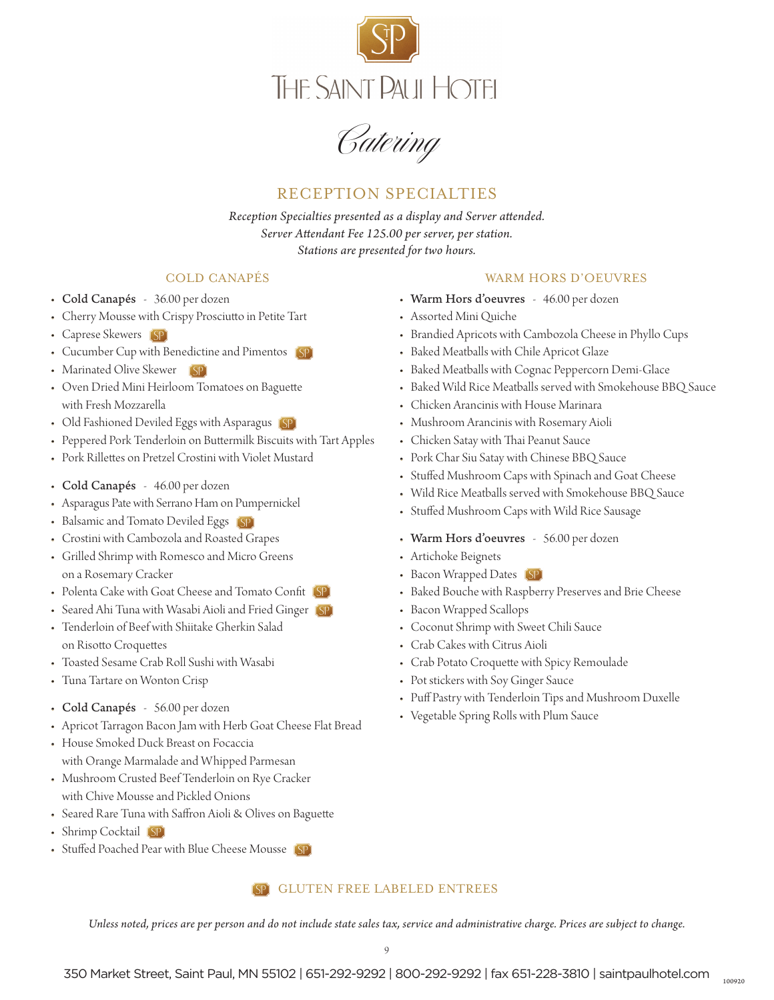

Catering

# RECEPTION SPECIALTIES

*Reception Specialties presented as a display and Server attended. Server Attendant Fee 125.00 per server, per station. Stations are presented for two hours.* 

### COLD CANAPÉS

- Cold Canapés 36.00 per dozen
- Cherry Mousse with Crispy Prosciutto in Petite Tart
- Caprese Skewers [SP]
- Cucumber Cup with Benedictine and Pimentos (SP)
- Marinated Olive Skewer [SP]
- Oven Dried Mini Heirloom Tomatoes on Baguette with Fresh Mozzarella
- Old Fashioned Deviled Eggs with Asparagus (SP)
- Peppered Pork Tenderloin on Buttermilk Biscuits with Tart Apples
- Pork Rillettes on Pretzel Crostini with Violet Mustard
- Cold Canapés 46.00 per dozen
- Asparagus Pate with Serrano Ham on Pumpernickel
- Balsamic and Tomato Deviled Eggs (SP)
- Crostini with Cambozola and Roasted Grapes
- Grilled Shrimp with Romesco and Micro Greens on a Rosemary Cracker
- Polenta Cake with Goat Cheese and Tomato Confit (SP)
- Seared Ahi Tuna with Wasabi Aioli and Fried Ginger (SP)
- Tenderloin of Beef with Shiitake Gherkin Salad on Risotto Croquettes
- Toasted Sesame Crab Roll Sushi with Wasabi
- Tuna Tartare on Wonton Crisp
- Cold Canapés 56.00 per dozen
- Apricot Tarragon Bacon Jam with Herb Goat Cheese Flat Bread
- House Smoked Duck Breast on Focaccia with Orange Marmalade and Whipped Parmesan
- Mushroom Crusted Beef Tenderloin on Rye Cracker with Chive Mousse and Pickled Onions
- Seared Rare Tuna with Saffron Aioli & Olives on Baguette
- Shrimp Cocktail (SP)
- Stuffed Poached Pear with Blue Cheese Mousse

### GLUTEN FREE LABELED ENTREES

*Unless noted, prices are per person and do not include state sales tax, service and administrative charge. Prices are subject to change.*

### WARM HORS D'OEUVRES

- Warm Hors d'oeuvres 46.00 per dozen
- Assorted Mini Quiche
- Brandied Apricots with Cambozola Cheese in Phyllo Cups
- Baked Meatballs with Chile Apricot Glaze
- Baked Meatballs with Cognac Peppercorn Demi-Glace
- Baked Wild Rice Meatballs served with Smokehouse BBQ Sauce
- Chicken Arancinis with House Marinara
- Mushroom Arancinis with Rosemary Aioli
- Chicken Satay with Thai Peanut Sauce
- Pork Char Siu Satay with Chinese BBQ Sauce
- Stuffed Mushroom Caps with Spinach and Goat Cheese
- Wild Rice Meatballs served with Smokehouse BBQ Sauce
- Stuffed Mushroom Caps with Wild Rice Sausage
- Warm Hors d'oeuvres 56.00 per dozen
- Artichoke Beignets
- Bacon Wrapped Dates (SP)
- Baked Bouche with Raspberry Preserves and Brie Cheese
- Bacon Wrapped Scallops
- Coconut Shrimp with Sweet Chili Sauce
- Crab Cakes with Citrus Aioli
- Crab Potato Croquette with Spicy Remoulade
- Pot stickers with Soy Ginger Sauce
- Puff Pastry with Tenderloin Tips and Mushroom Duxelle
- Vegetable Spring Rolls with Plum Sauce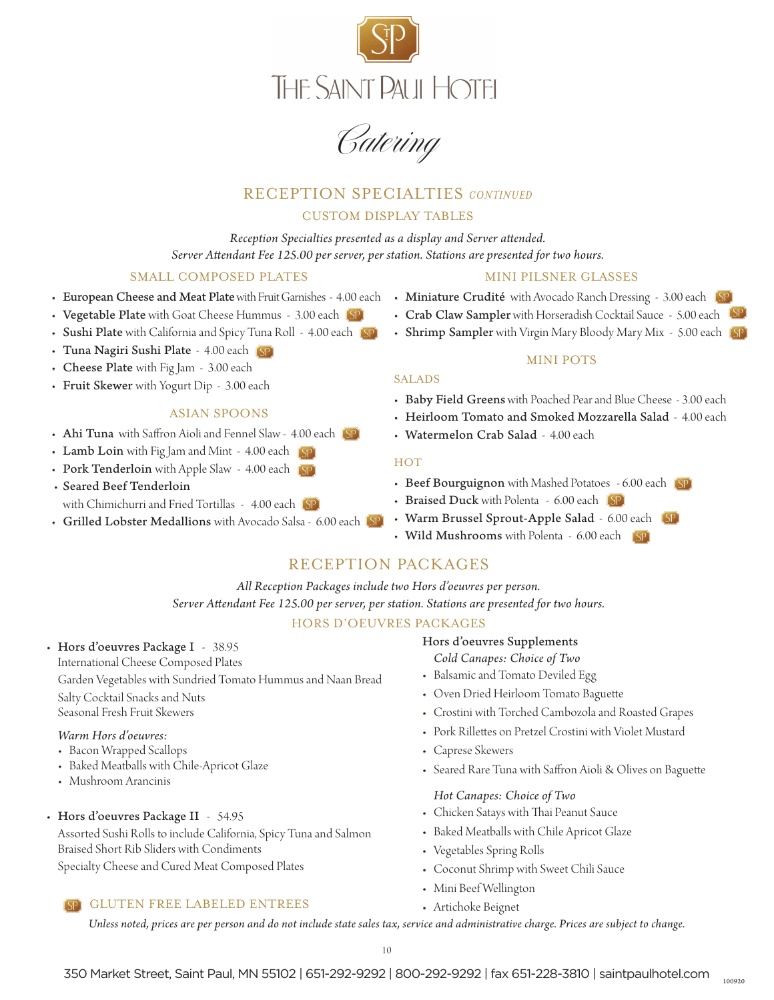

Catering

# RECEPTION SPECIALTIES *CONTINUED*

### CUSTOM DISPLAY TABLES

*Reception Specialties presented as a display and Server attended. Server Attendant Fee 125.00 per server, per station. Stations are presented for two hours.*

### SMALL COMPOSED PLATES

- European Cheese and Meat Plate with Fruit Garnishes 4.00 each
- Vegetable Plate with Goat Cheese Hummus 3.00 each
- Sushi Plate with California and Spicy Tuna Roll 4.00 each (SP)
- Tuna Nagiri Sushi Plate 4.00 each
- Cheese Plate with Fig Jam 3.00 each
- Fruit Skewer with Yogurt Dip 3.00 each

#### ASIAN SPOONS

- Ahi Tuna with Saffron Aioli and Fennel Slaw 4.00 each
- Lamb Loin with Fig Jam and Mint 4.00 each (SP)
- Pork Tenderloin with Apple Slaw 4.00 each [SP]
- Seared Beef Tenderloin with Chimichurri and Fried Tortillas - 4.00 each [SP]
- Grilled Lobster Medallions with Avocado Salsa 6.00 each

#### MINI PILSNER GLASSES

- Miniature Crudité with Avocado Ranch Dressing 3.00 each
- Crab Claw Sampler with Horseradish Cocktail Sauce 5.00 each
- Shrimp Sampler with Virgin Mary Bloody Mary Mix 5.00 each

#### MINI POTS

#### SALADS

- Baby Field Greens with Poached Pear and Blue Cheese 3.00 each
- Heirloom Tomato and Smoked Mozzarella Salad 4.00 each
- Watermelon Crab Salad 4.00 each

#### HOT

- Beef Bourguignon with Mashed Potatoes 6.00 each
- Braised Duck with Polenta 6.00 each
- Warm Brussel Sprout-Apple Salad 6.00 each
- Wild Mushrooms with Polenta 6.00 each (SP)

### RECEPTION PACKAGES

*All Reception Packages include two Hors d'oeuvres per person. Server Attendant Fee 125.00 per server, per station. Stations are presented for two hours.*

#### HORS D'OEUVRES PACKAGES

• Hors d'oeuvres Package I - 38.95

International Cheese Composed Plates Garden Vegetables with Sundried Tomato Hummus and Naan Bread Salty Cocktail Snacks and Nuts Seasonal Fresh Fruit Skewers

#### *Warm Hors d'oeuvres:*

- Bacon Wrapped Scallops
- Baked Meatballs with Chile-Apricot Glaze
- Mushroom Arancinis
- Hors d'oeuvres Package II 54.95

 Assorted Sushi Rolls to include California, Spicy Tuna and Salmon Braised Short Rib Sliders with Condiments Specialty Cheese and Cured Meat Composed Plates

#### GLUTEN FREE LABELED ENTREES

Hors d'oeuvres Supplements

*Cold Canapes: Choice of Two*

- Balsamic and Tomato Deviled Egg
- Oven Dried Heirloom Tomato Baguette
- Crostini with Torched Cambozola and Roasted Grapes
- Pork Rillettes on Pretzel Crostini with Violet Mustard
- Caprese Skewers
- Seared Rare Tuna with Saffron Aioli & Olives on Baguette

100920

#### *Hot Canapes: Choice of Two*

- Chicken Satays with Thai Peanut Sauce
- Baked Meatballs with Chile Apricot Glaze
- Vegetables Spring Rolls
- Coconut Shrimp with Sweet Chili Sauce
- Mini Beef Wellington
- Artichoke Beignet

*Unless noted, prices are per person and do not include state sales tax, service and administrative charge. Prices are subject to change.*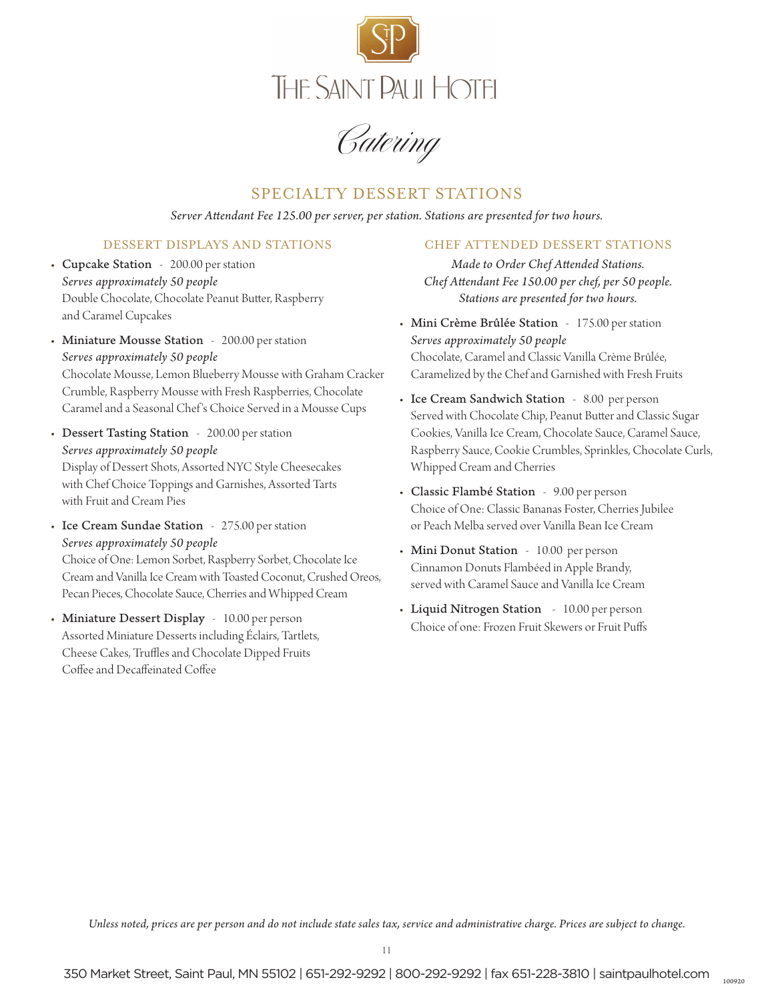

Catering

## SPECIALTY DESSERT STATIONS

*Server Attendant Fee 125.00 per server, per station. Stations are presented for two hours.*

### DESSERT DISPLAYS AND STATIONS

- Cupcake Station 200.00 per station *Serves approximately 50 people* Double Chocolate, Chocolate Peanut Butter, Raspberry and Caramel Cupcakes
- Miniature Mousse Station 200.00 per station *Serves approximately 50 people* Chocolate Mousse, Lemon Blueberry Mousse with Graham Cracker Crumble, Raspberry Mousse with Fresh Raspberries, Chocolate Caramel and a Seasonal Chef 's Choice Served in a Mousse Cups
- Dessert Tasting Station 200.00 per station *Serves approximately 50 people* Display of Dessert Shots, Assorted NYC Style Cheesecakes with Chef Choice Toppings and Garnishes, Assorted Tarts with Fruit and Cream Pies
- Ice Cream Sundae Station 275.00 per station *Serves approximately 50 people* Choice of One: Lemon Sorbet, Raspberry Sorbet, Chocolate Ice Cream and Vanilla Ice Cream with Toasted Coconut, Crushed Oreos, Pecan Pieces, Chocolate Sauce, Cherries and Whipped Cream
- Miniature Dessert Display 10.00 per person Assorted Miniature Desserts including Éclairs, Tartlets, Cheese Cakes, Truffles and Chocolate Dipped Fruits Coffee and Decaffeinated Coffee

#### CHEF ATTENDED DESSERT STATIONS

*Made to Order Chef Attended Stations. Chef Attendant Fee 150.00 per chef, per 50 people. Stations are presented for two hours.* 

- Mini Crème Brûlée Station 175.00 per station *Serves approximately 50 people* Chocolate, Caramel and Classic Vanilla Crème Brûlée, Caramelized by the Chef and Garnished with Fresh Fruits
- Ice Cream Sandwich Station 8.00 per person Served with Chocolate Chip, Peanut Butter and Classic Sugar Cookies, Vanilla Ice Cream, Chocolate Sauce, Caramel Sauce, Raspberry Sauce, Cookie Crumbles, Sprinkles, Chocolate Curls, Whipped Cream and Cherries
- Classic Flambé Station 9.00 per person Choice of One: Classic Bananas Foster, Cherries Jubilee or Peach Melba served over Vanilla Bean Ice Cream
- Mini Donut Station 10.00 per person Cinnamon Donuts Flambéed in Apple Brandy, served with Caramel Sauce and Vanilla Ice Cream
- Liquid Nitrogen Station 10.00 per person Choice of one: Frozen Fruit Skewers or Fruit Puffs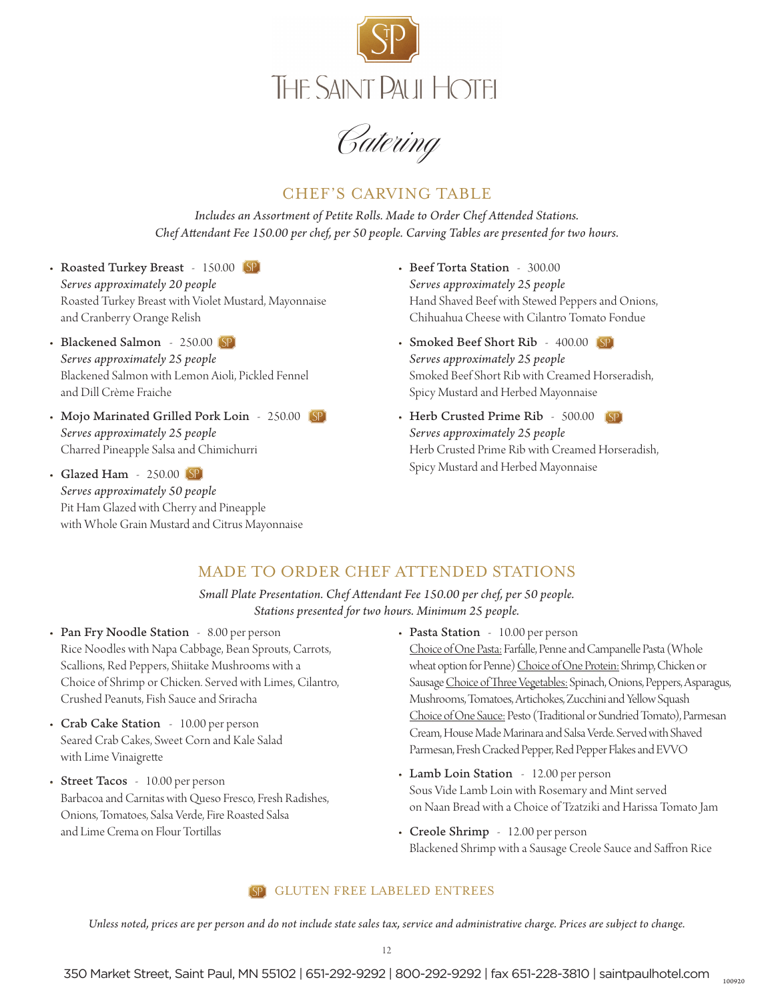

Catering

# CHEF'S CARVING TABLE

*Includes an Assortment of Petite Rolls. Made to Order Chef Attended Stations. Chef Attendant Fee 150.00 per chef, per 50 people. Carving Tables are presented for two hours.*

- Roasted Turkey Breast 150.00 (SP) *Serves approximately 20 people* Roasted Turkey Breast with Violet Mustard, Mayonnaise and Cranberry Orange Relish
- Blackened Salmon 250.00 SP *Serves approximately 25 people* Blackened Salmon with Lemon Aioli, Pickled Fennel and Dill Crème Fraiche
- Mojo Marinated Grilled Pork Loin 250.00 (SP) *Serves approximately 25 people* Charred Pineapple Salsa and Chimichurri
- Glazed Ham 250.00 (SP) *Serves approximately 50 people* Pit Ham Glazed with Cherry and Pineapple with Whole Grain Mustard and Citrus Mayonnaise
- Beef Torta Station 300.00 *Serves approximately 25 people* Hand Shaved Beef with Stewed Peppers and Onions, Chihuahua Cheese with Cilantro Tomato Fondue
- Smoked Beef Short Rib 400.00 SP *Serves approximately 25 people* Smoked Beef Short Rib with Creamed Horseradish, Spicy Mustard and Herbed Mayonnaise
- Herb Crusted Prime Rib 500.00 *Serves approximately 25 people* Herb Crusted Prime Rib with Creamed Horseradish, Spicy Mustard and Herbed Mayonnaise

# MADE TO ORDER CHEF ATTENDED STATIONS

*Small Plate Presentation. Chef Attendant Fee 150.00 per chef, per 50 people. Stations presented for two hours. Minimum 25 people.*

- Pan Fry Noodle Station 8.00 per person Rice Noodles with Napa Cabbage, Bean Sprouts, Carrots, Scallions, Red Peppers, Shiitake Mushrooms with a Choice of Shrimp or Chicken. Served with Limes, Cilantro, Crushed Peanuts, Fish Sauce and Sriracha
- Crab Cake Station 10.00 per person Seared Crab Cakes, Sweet Corn and Kale Salad with Lime Vinaigrette
- Street Tacos 10.00 per person Barbacoa and Carnitas with Queso Fresco, Fresh Radishes, Onions, Tomatoes, Salsa Verde, Fire Roasted Salsa and Lime Crema on Flour Tortillas
- Pasta Station 10.00 per person Choice of One Pasta: Farfalle, Penne and Campanelle Pasta (Whole wheat option for Penne) Choice of One Protein: Shrimp, Chicken or Sausage Choice of Three Vegetables: Spinach, Onions, Peppers, Asparagus, Mushrooms, Tomatoes, Artichokes, Zucchini and Yellow Squash Choice of One Sauce: Pesto (Traditional or Sundried Tomato), Parmesan Cream, House Made Marinara and Salsa Verde. Served with Shaved Parmesan, Fresh Cracked Pepper, Red Pepper Flakes and EVVO
- Lamb Loin Station 12.00 per person Sous Vide Lamb Loin with Rosemary and Mint served on Naan Bread with a Choice of Tzatziki and Harissa Tomato Jam
- Creole Shrimp 12.00 per person Blackened Shrimp with a Sausage Creole Sauce and Saffron Rice

#### GLUTEN FREE LABELED ENTREES

*Unless noted, prices are per person and do not include state sales tax, service and administrative charge. Prices are subject to change.*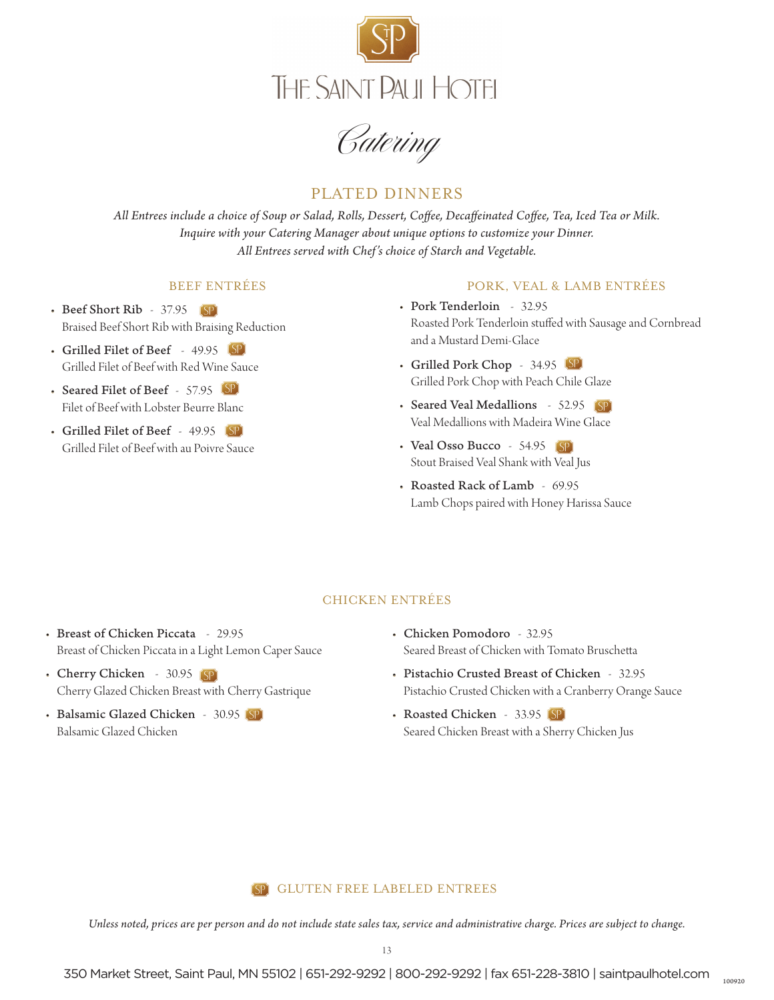

Catering

# PLATED DINNERS

*All Entrees include a choice of Soup or Salad, Rolls, Dessert, Coffee, Decaffeinated Coffee, Tea, Iced Tea or Milk. Inquire with your Catering Manager about unique options to customize your Dinner. All Entrees served with Chef's choice of Starch and Vegetable.*

#### BEEF ENTRÉES

- Beef Short Rib 37.95 (SP) Braised Beef Short Rib with Braising Reduction
- Grilled Filet of Beef 49.95 Grilled Filet of Beef with Red Wine Sauce
- Seared Filet of Beef 57.95 Filet of Beef with Lobster Beurre Blanc
- Grilled Filet of Beef 49.95 Grilled Filet of Beef with au Poivre Sauce

#### PORK, VEAL & LAMB ENTRÉES

- Pork Tenderloin 32.95 Roasted Pork Tenderloin stuffed with Sausage and Cornbread and a Mustard Demi-Glace
- Grilled Pork Chop 34.95 Grilled Pork Chop with Peach Chile Glaze
- Seared Veal Medallions 52.95 Veal Medallions with Madeira Wine Glace
- Veal Osso Bucco 54.95 (SP) Stout Braised Veal Shank with Veal Jus
- Roasted Rack of Lamb 69.95 Lamb Chops paired with Honey Harissa Sauce

#### CHICKEN ENTRÉES

- Breast of Chicken Piccata 29.95 Breast of Chicken Piccata in a Light Lemon Caper Sauce
- Cherry Chicken 30.95 (SP) Cherry Glazed Chicken Breast with Cherry Gastrique
- Balsamic Glazed Chicken 30.95 (SP) Balsamic Glazed Chicken
- Chicken Pomodoro 32.95 Seared Breast of Chicken with Tomato Bruschetta
- Pistachio Crusted Breast of Chicken 32.95 Pistachio Crusted Chicken with a Cranberry Orange Sauce
- Roasted Chicken 33.95 (SP) Seared Chicken Breast with a Sherry Chicken Jus

#### GLUTEN FREE LABELED ENTREES

*Unless noted, prices are per person and do not include state sales tax, service and administrative charge. Prices are subject to change.*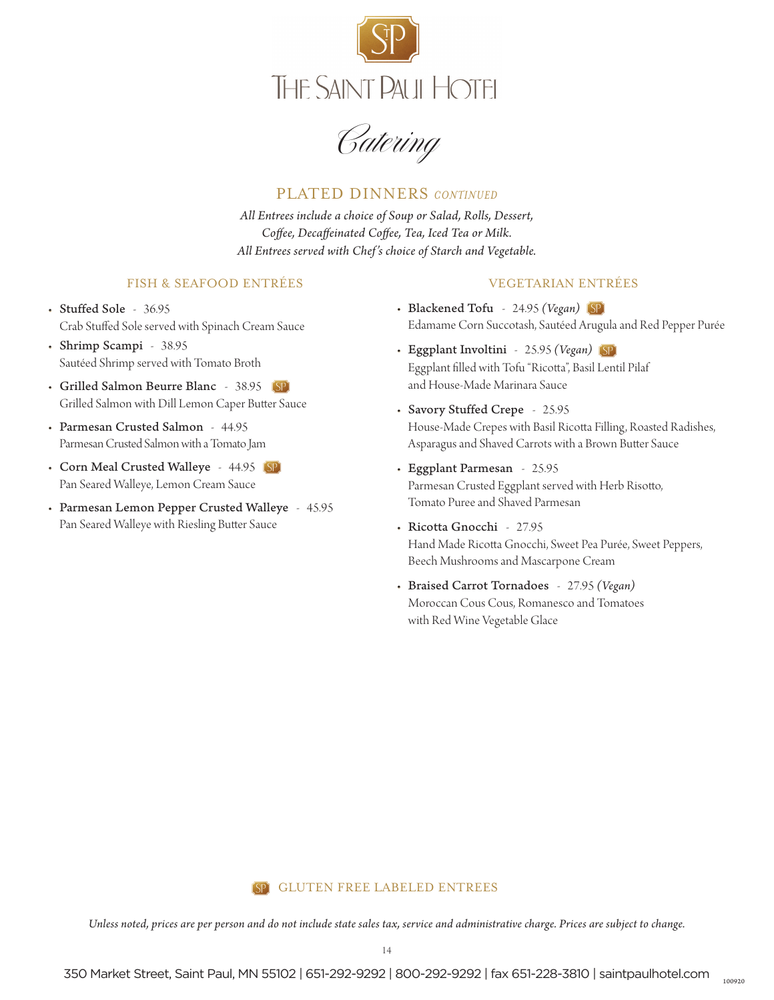

Catering

### PLATED DINNERS *CONTINUED*

*All Entrees include a choice of Soup or Salad, Rolls, Dessert, Coffee, Decaffeinated Coffee, Tea, Iced Tea or Milk. All Entrees served with Chef's choice of Starch and Vegetable.*

#### FISH & SEAFOOD ENTRÉES

### • Stuffed Sole - 36.95 Crab Stuffed Sole served with Spinach Cream Sauce

- Shrimp Scampi 38.95 Sautéed Shrimp served with Tomato Broth
- Grilled Salmon Beurre Blanc 38.95 Grilled Salmon with Dill Lemon Caper Butter Sauce
- Parmesan Crusted Salmon 44.95 Parmesan Crusted Salmon with a Tomato Jam
- Corn Meal Crusted Walleye 44.95 (SP) Pan Seared Walleye, Lemon Cream Sauce
- Parmesan Lemon Pepper Crusted Walleye 45.95 Pan Seared Walleye with Riesling Butter Sauce

#### VEGETARIAN ENTRÉES

- Blackened Tofu 24.95 *(Vegan)* Edamame Corn Succotash, Sautéed Arugula and Red Pepper Purée
- Eggplant Involtini 25.95 *(Vegan)* Eggplant filled with Tofu "Ricotta", Basil Lentil Pilaf and House-Made Marinara Sauce
- Savory Stuffed Crepe 25.95 House-Made Crepes with Basil Ricotta Filling, Roasted Radishes, Asparagus and Shaved Carrots with a Brown Butter Sauce
- Eggplant Parmesan 25.95 Parmesan Crusted Eggplant served with Herb Risotto, Tomato Puree and Shaved Parmesan
- Ricotta Gnocchi 27.95 Hand Made Ricotta Gnocchi, Sweet Pea Purée, Sweet Peppers, Beech Mushrooms and Mascarpone Cream

100920

• Braised Carrot Tornadoes - 27.95 *(Vegan)* Moroccan Cous Cous, Romanesco and Tomatoes with Red Wine Vegetable Glace

#### **SP** GLUTEN FREE LABELED ENTREES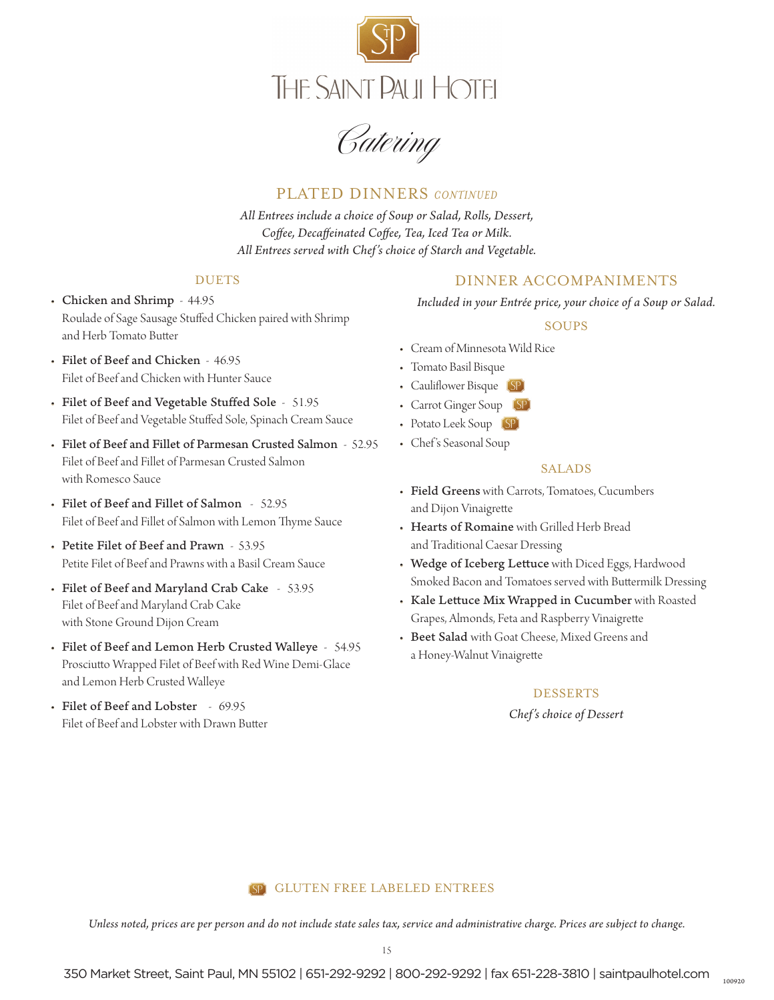

Catering

### PLATED DINNERS *CONTINUED*

*All Entrees include a choice of Soup or Salad, Rolls, Dessert, Coffee, Decaffeinated Coffee, Tea, Iced Tea or Milk. All Entrees served with Chef's choice of Starch and Vegetable.*

#### DUETS

- Chicken and Shrimp 44.95 Roulade of Sage Sausage Stuffed Chicken paired with Shrimp and Herb Tomato Butter
- Filet of Beef and Chicken 46.95 Filet of Beef and Chicken with Hunter Sauce
- Filet of Beef and Vegetable Stuffed Sole 51.95 Filet of Beef and Vegetable Stuffed Sole, Spinach Cream Sauce
- Filet of Beef and Fillet of Parmesan Crusted Salmon 52.95 Filet of Beef and Fillet of Parmesan Crusted Salmon with Romesco Sauce
- Filet of Beef and Fillet of Salmon 52.95 Filet of Beef and Fillet of Salmon with Lemon Thyme Sauce
- Petite Filet of Beef and Prawn 53.95 Petite Filet of Beef and Prawns with a Basil Cream Sauce
- Filet of Beef and Maryland Crab Cake 53.95 Filet of Beef and Maryland Crab Cake with Stone Ground Dijon Cream
- Filet of Beef and Lemon Herb Crusted Walleye 54.95 Prosciutto Wrapped Filet of Beef with Red Wine Demi-Glace and Lemon Herb Crusted Walleye
- Filet of Beef and Lobster 69.95 Filet of Beef and Lobster with Drawn Butter

### DINNER ACCOMPANIMENTS

*Included in your Entrée price, your choice of a Soup or Salad.*

#### SOUPS

- Cream of Minnesota Wild Rice
- Tomato Basil Bisque
- Cauliflower Bisque (SP)
- Carrot Ginger Soup (SP)
- Potato Leek Soup (SP)
- Chef 's Seasonal Soup

#### SALADS

- Field Greens with Carrots, Tomatoes, Cucumbers and Dijon Vinaigrette
- Hearts of Romaine with Grilled Herb Bread and Traditional Caesar Dressing
- Wedge of Iceberg Lettuce with Diced Eggs, Hardwood Smoked Bacon and Tomatoes served with Buttermilk Dressing
- Kale Lettuce Mix Wrapped in Cucumber with Roasted Grapes, Almonds, Feta and Raspberry Vinaigrette
- Beet Salad with Goat Cheese, Mixed Greens and a Honey-Walnut Vinaigrette

#### DESSERTS

*Chef's choice of Dessert*

### GLUTEN FREE LABELED ENTREES

*Unless noted, prices are per person and do not include state sales tax, service and administrative charge. Prices are subject to change.*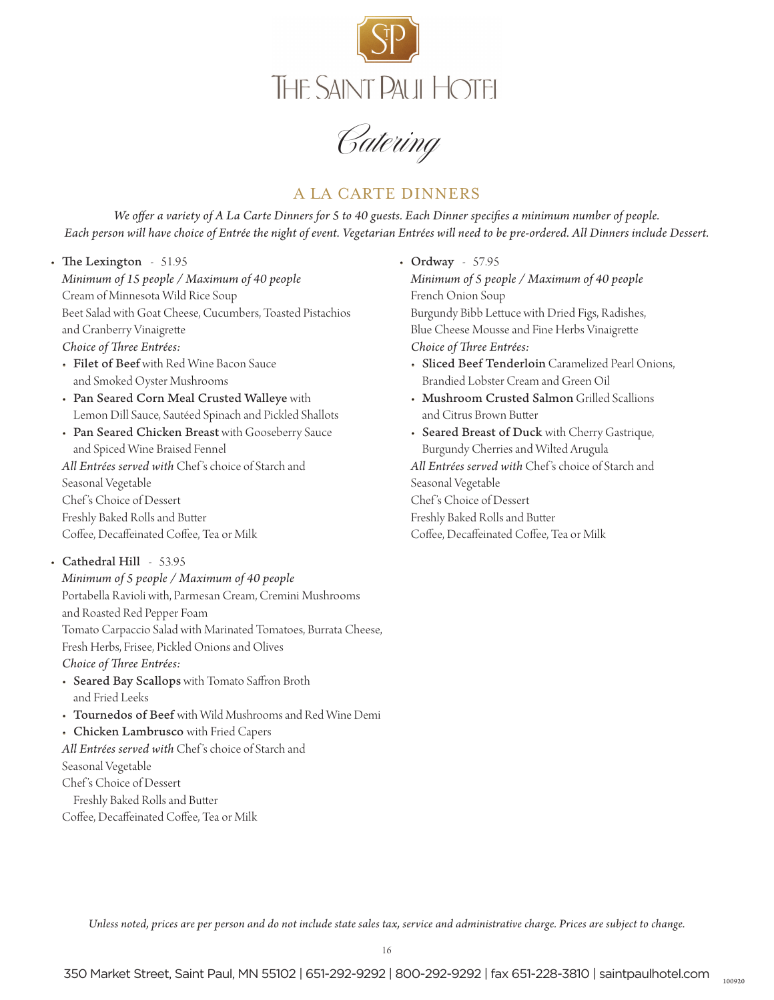

Catering

# A LA CARTE DINNERS

*We offer a variety of A La Carte Dinners for 5 to 40 guests. Each Dinner specifies a minimum number of people. Each person will have choice of Entrée the night of event. Vegetarian Entrées will need to be pre-ordered. All Dinners include Dessert.*

- The Lexington 51.95 *Minimum of 15 people / Maximum of 40 people* Cream of Minnesota Wild Rice Soup Beet Salad with Goat Cheese, Cucumbers, Toasted Pistachios and Cranberry Vinaigrette *Choice of Three Entrées:*
	- Filet of Beef with Red Wine Bacon Sauce and Smoked Oyster Mushrooms
	- Pan Seared Corn Meal Crusted Walleye with Lemon Dill Sauce, Sautéed Spinach and Pickled Shallots
	- Pan Seared Chicken Breast with Gooseberry Sauce and Spiced Wine Braised Fennel *All Entrées served with* Chef 's choice of Starch and Seasonal Vegetable Chef 's Choice of Dessert Freshly Baked Rolls and Butter Coffee, Decaffeinated Coffee, Tea or Milk
- Cathedral Hill 53.95
	- *Minimum of 5 people / Maximum of 40 people* Portabella Ravioli with, Parmesan Cream, Cremini Mushrooms and Roasted Red Pepper Foam Tomato Carpaccio Salad with Marinated Tomatoes, Burrata Cheese, Fresh Herbs, Frisee, Pickled Onions and Olives *Choice of Three Entrées:*
	- Seared Bay Scallops with Tomato Saffron Broth and Fried Leeks
	- Tournedos of Beef with Wild Mushrooms and Red Wine Demi
	- Chicken Lambrusco with Fried Capers
	- *All Entrées served with* Chef 's choice of Starch and Seasonal Vegetable Chef 's Choice of Dessert Freshly Baked Rolls and Butter
	- Coffee, Decaffeinated Coffee, Tea or Milk
- Ordway 57.95 *Minimum of 5 people / Maximum of 40 people* French Onion Soup Burgundy Bibb Lettuce with Dried Figs, Radishes, Blue Cheese Mousse and Fine Herbs Vinaigrette *Choice of Three Entrées:*
	- Sliced Beef Tenderloin Caramelized Pearl Onions, Brandied Lobster Cream and Green Oil
	- Mushroom Crusted Salmon Grilled Scallions and Citrus Brown Butter
- Seared Breast of Duck with Cherry Gastrique, Burgundy Cherries and Wilted Arugula *All Entrées served with* Chef 's choice of Starch and Seasonal Vegetable Chef 's Choice of Dessert Freshly Baked Rolls and Butter Coffee, Decaffeinated Coffee, Tea or Milk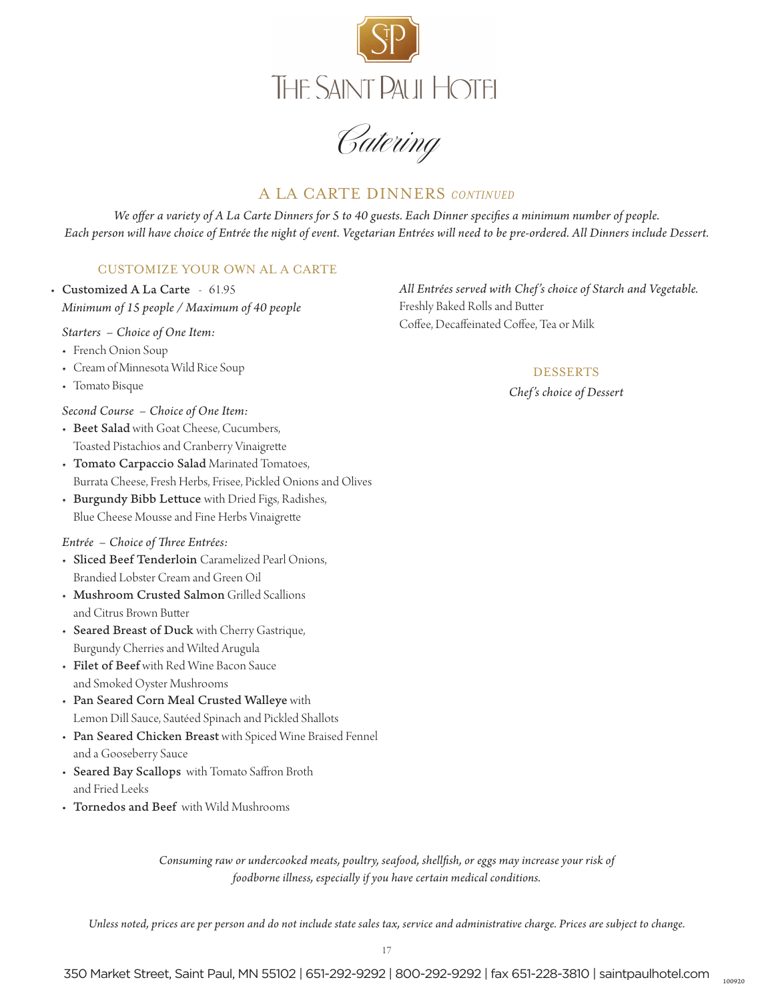

Catering

# A LA CARTE DINNERS *CONTINUED*

*We offer a variety of A La Carte Dinners for 5 to 40 guests. Each Dinner specifies a minimum number of people. Each person will have choice of Entrée the night of event. Vegetarian Entrées will need to be pre-ordered. All Dinners include Dessert.*

### CUSTOMIZE YOUR OWN AL A CARTE

• Customized A La Carte - 61.95 *Minimum of 15 people / Maximum of 40 people*

*Starters – Choice of One Item:*

- French Onion Soup
- Cream of Minnesota Wild Rice Soup
- Tomato Bisque

*Second Course – Choice of One Item:*

- Beet Salad with Goat Cheese, Cucumbers, Toasted Pistachios and Cranberry Vinaigrette
- Tomato Carpaccio Salad Marinated Tomatoes, Burrata Cheese, Fresh Herbs, Frisee, Pickled Onions and Olives
- Burgundy Bibb Lettuce with Dried Figs, Radishes, Blue Cheese Mousse and Fine Herbs Vinaigrette

#### *Entrée – Choice of Three Entrées:*

- Sliced Beef Tenderloin Caramelized Pearl Onions, Brandied Lobster Cream and Green Oil
- Mushroom Crusted Salmon Grilled Scallions and Citrus Brown Butter
- Seared Breast of Duck with Cherry Gastrique, Burgundy Cherries and Wilted Arugula
- Filet of Beef with Red Wine Bacon Sauce and Smoked Oyster Mushrooms
- Pan Seared Corn Meal Crusted Walleye with Lemon Dill Sauce, Sautéed Spinach and Pickled Shallots
- Pan Seared Chicken Breast with Spiced Wine Braised Fennel and a Gooseberry Sauce
- Seared Bay Scallops with Tomato Saffron Broth and Fried Leeks
- Tornedos and Beef with Wild Mushrooms

*All Entrées served with Chef's choice of Starch and Vegetable.* Freshly Baked Rolls and Butter

Coffee, Decaffeinated Coffee, Tea or Milk

#### **DESSERTS**

*Chef's choice of Dessert*

*Consuming raw or undercooked meats, poultry, seafood, shellfish, or eggs may increase your risk of foodborne illness, especially if you have certain medical conditions.*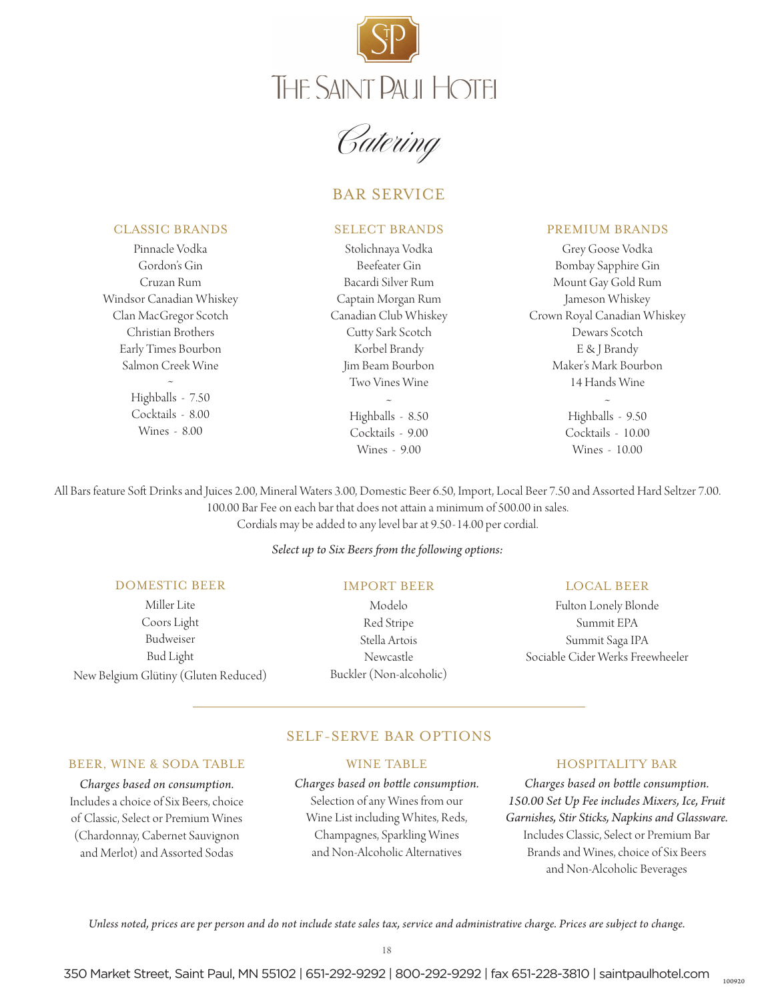



# BAR SERVICE

#### CLASSIC BRANDS

Pinnacle Vodka Gordon's Gin Cruzan Rum Windsor Canadian Whiskey Clan MacGregor Scotch Christian Brothers Early Times Bourbon Salmon Creek Wine ~ Highballs - 7.50 Cocktails - 8.00 Wines - 8.00

#### SELECT BRANDS

Stolichnaya Vodka Beefeater Gin Bacardi Silver Rum Captain Morgan Rum Canadian Club Whiskey Cutty Sark Scotch Korbel Brandy Jim Beam Bourbon Two Vines Wine ~

> Highballs - 8.50 Cocktails - 9.00 Wines - 9.00

#### PREMIUM BRANDS

Grey Goose Vodka Bombay Sapphire Gin Mount Gay Gold Rum Jameson Whiskey Crown Royal Canadian Whiskey Dewars Scotch E & J Brandy Maker's Mark Bourbon 14 Hands Wine

~ Highballs - 9.50 Cocktails - 10.00 Wines - 10.00

All Bars feature Soft Drinks and Juices 2.00, Mineral Waters 3.00, Domestic Beer 6.50, Import, Local Beer 7.50 and Assorted Hard Seltzer 7.00. 100.00 Bar Fee on each bar that does not attain a minimum of 500.00 in sales. Cordials may be added to any level bar at 9.50-14.00 per cordial.

#### *Select up to Six Beers from the following options:*

#### DOMESTIC BEER

Miller Lite Coors Light Budweiser Bud Light New Belgium Glütiny (Gluten Reduced)

#### IMPORT BEER

Modelo Red Stripe Stella Artois Newcastle Buckler (Non-alcoholic)

#### LOCAL BEER

Fulton Lonely Blonde Summit EPA Summit Saga IPA Sociable Cider Werks Freewheeler

### BEER, WINE & SODA TABLE

*Charges based on consumption.* Includes a choice of Six Beers, choice of Classic, Select or Premium Wines (Chardonnay, Cabernet Sauvignon and Merlot) and Assorted Sodas

#### WINE TABLE

SELF-SERVE BAR OPTIONS

### *Charges based on bottle consumption.* Selection of any Wines from our Wine List including Whites, Reds, Champagnes, Sparkling Wines and Non-Alcoholic Alternatives

#### HOSPITALITY BAR

*Charges based on bottle consumption. 150.00 Set Up Fee includes Mixers, Ice, Fruit Garnishes, Stir Sticks, Napkins and Glassware.* Includes Classic, Select or Premium Bar Brands and Wines, choice of Six Beers and Non-Alcoholic Beverages

*Unless noted, prices are per person and do not include state sales tax, service and administrative charge. Prices are subject to change.*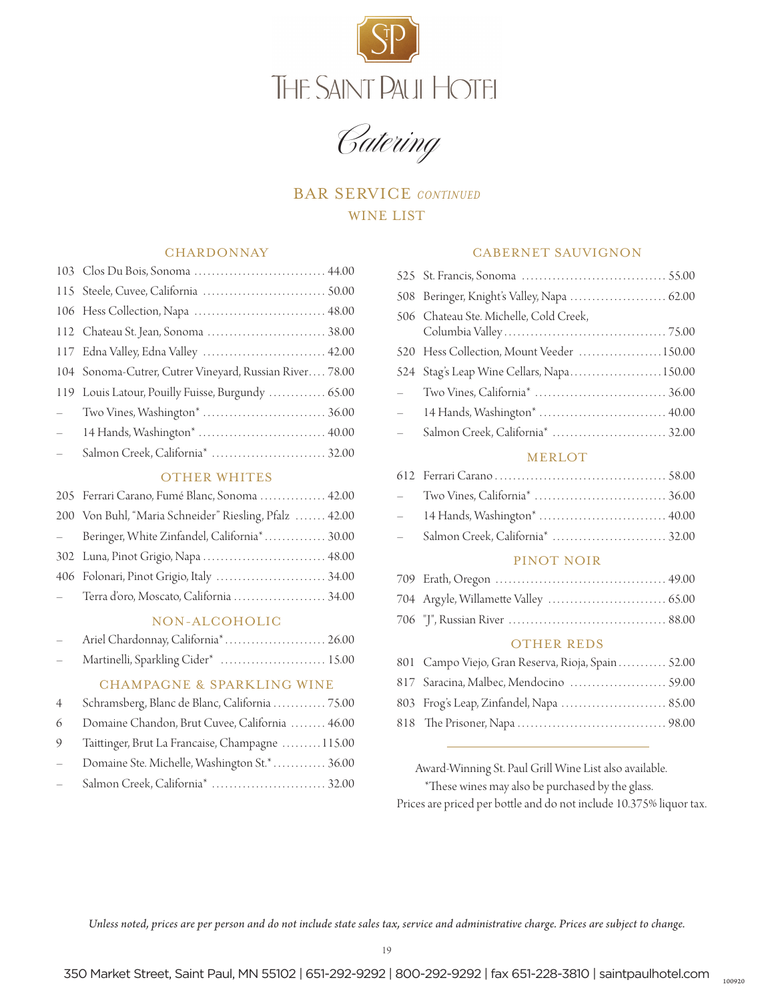

Catering

# BAR SERVICE *CONTINUED* WINE LIST

#### **CHARDONNAY**

|               | 103 Clos Du Bois, Sonoma  44.00                         |
|---------------|---------------------------------------------------------|
|               |                                                         |
|               |                                                         |
|               |                                                         |
|               | 117 Edna Valley, Edna Valley  42.00                     |
|               | 104 Sonoma-Cutrer, Cutrer Vineyard, Russian River 78.00 |
|               | 119 Louis Latour, Pouilly Fuisse, Burgundy  65.00       |
| $\frac{1}{2}$ |                                                         |
| $\frac{1}{2}$ |                                                         |
| $\frac{1}{2}$ |                                                         |
|               |                                                         |

#### OTHER WHITES

| 205 Ferrari Carano, Fumé Blanc, Sonoma  42.00          |
|--------------------------------------------------------|
| 200 Von Buhl, "Maria Schneider" Riesling, Pfalz  42.00 |
| - Beringer, White Zinfandel, California* 30.00         |
| 302 Luna, Pinot Grigio, Napa  48.00                    |
| 406 Folonari, Pinot Grigio, Italy  34.00               |
| - Terra d'oro, Moscato, California  34.00              |
|                                                        |

#### NON-ALCOHOLIC

| $\frac{1}{2}$ . | Ariel Chardonnay, California <sup>*</sup> 26.00 |  |
|-----------------|-------------------------------------------------|--|
| $\equiv$        | Martinelli, Sparkling Cider*  15.00             |  |

#### CHAMPAGNE & SPARKLING WINE

|                                 | 4 Schramsberg, Blanc de Blanc, California  75.00 |
|---------------------------------|--------------------------------------------------|
|                                 | 6 Domaine Chandon, Brut Cuvee, California  46.00 |
| 9                               | Taittinger, Brut La Francaise, Champagne 115.00  |
| $\frac{1}{2}$                   | Domaine Ste. Michelle, Washington St.*  36.00    |
| $\frac{1}{2}$ and $\frac{1}{2}$ |                                                  |

#### CABERNET SAUVIGNON

|              | 508 Beringer, Knight's Valley, Napa  62.00 |
|--------------|--------------------------------------------|
|              | 506 Chateau Ste. Michelle, Cold Creek,     |
|              | 520 Hess Collection, Mount Veeder 150.00   |
|              | 524 Stag's Leap Wine Cellars, Napa150.00   |
|              |                                            |
|              | - 14 Hands, Washington*  40.00             |
| $\mathbf{r}$ |                                            |
|              | <b>MERLOT</b>                              |

# 612 Ferrari Carano . . . 58.00 – Two Vines, California\* . . . 36.00 – 14 Hands, Washington\* . . 40.00

– Salmon Creek, California\* . . 32.00

#### PINOT NOIR

#### OTHER REDS

| 801 Campo Viejo, Gran Reserva, Rioja, Spain 52.00 |  |
|---------------------------------------------------|--|
|                                                   |  |
| 803 Frog's Leap, Zinfandel, Napa  85.00           |  |
|                                                   |  |

 Award-Winning St. Paul Grill Wine List also available. \*These wines may also be purchased by the glass. Prices are priced per bottle and do not include 10.375% liquor tax.

100920